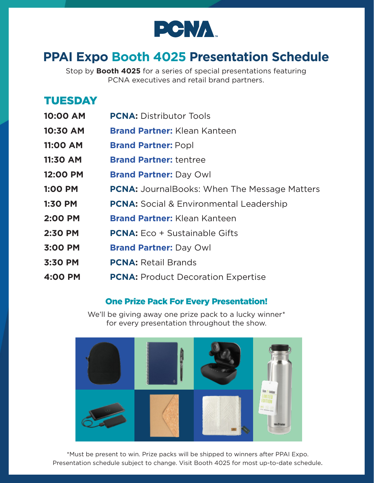

# **PPAI Expo Booth 4025 Presentation Schedule**

Stop by **Booth 4025** for a series of special presentations featuring PCNA executives and retail brand partners.

## TUESDAY

- **10:00 AM PCNA:** Distributor Tools
- **10:30 AM Brand Partner:** Klean Kanteen
- **11:00 AM Brand Partner: Popl**
- **11:30 AM Brand Partner:** tentree
- **12:00 PM Brand Partner:** Day Owl
- **1:00 PM PCNA:** JournalBooks: When The Message Matters
- **1:30 PM PCNA:** Social & Environmental Leadership
- **2:00 PM Brand Partner:** Klean Kanteen
- **2:30 PM PCNA:** Eco + Sustainable Gifts
- **3:00 PM Brand Partner:** Day Owl
- **3:30 PM PCNA:** Retail Brands
- **4:00 PM PCNA:** Product Decoration Expertise

### One Prize Pack For Every Presentation!

We'll be giving away one prize pack to a lucky winner\* for every presentation throughout the show.



\*Must be present to win. Prize packs will be shipped to winners after PPAI Expo. Presentation schedule subject to change. Visit Booth 4025 for most up-to-date schedule.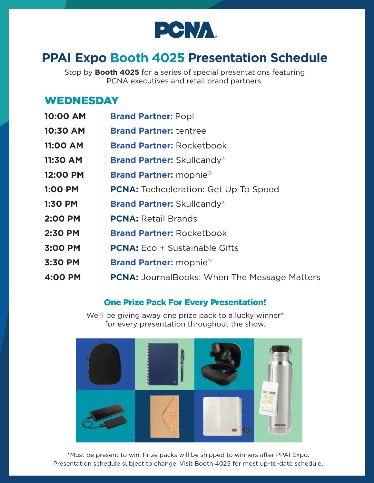

# **PPAI Expo Booth 4025 Presentation Schedule**

Stop by **Booth 4025** for a series of special presentations featuring PCNA executives and retail brand partners.

### **WEDNESDAY**

| 10:00 AM        | <b>Brand Partner: Popl</b>                          |
|-----------------|-----------------------------------------------------|
| 10:30 AM        | <b>Brand Partner: tentree</b>                       |
| <b>11:00 AM</b> | <b>Brand Partner: Rocketbook</b>                    |
| 11:30 AM        | <b>Brand Partner: Skullcandy®</b>                   |
| 12:00 PM        | <b>Brand Partner: mophie®</b>                       |
| <b>1:00 PM</b>  | <b>PCNA:</b> Techceleration: Get Up To Speed        |
| 1:30 PM         | <b>Brand Partner: Skullcandy®</b>                   |
| 2:00 PM         | <b>PCNA: Retail Brands</b>                          |
| 2:30 PM         | <b>Brand Partner: Rocketbook</b>                    |
| 3:00 PM         | <b>PCNA:</b> Eco + Sustainable Gifts                |
| 3:30 PM         | <b>Brand Partner:</b> mophie <sup>®</sup>           |
| 4:00 PM         | <b>PCNA:</b> JournalBooks: When The Message Matters |
|                 |                                                     |

#### One Prize Pack For Every Presentation!

We'll be giving away one prize pack to a lucky winner\* for every presentation throughout the show.



\*Must be present to win. Prize packs will be shipped to winners after PPAI Expo. Presentation schedule subject to change. Visit Booth 4025 for most up-to-date schedule.